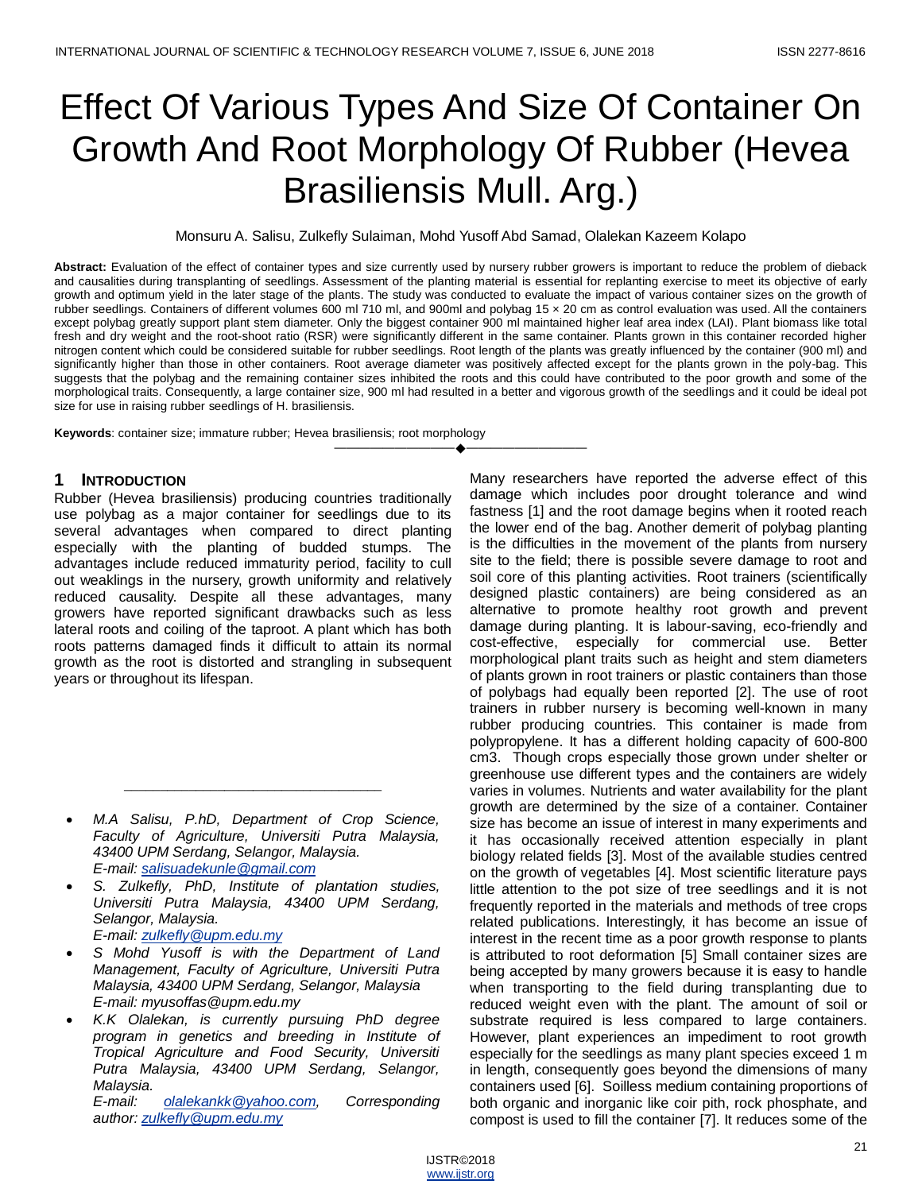# Effect Of Various Types And Size Of Container On Growth And Root Morphology Of Rubber (Hevea Brasiliensis Mull. Arg.)

Monsuru A. Salisu, Zulkefly Sulaiman, Mohd Yusoff Abd Samad, Olalekan Kazeem Kolapo

**Abstract:** Evaluation of the effect of container types and size currently used by nursery rubber growers is important to reduce the problem of dieback and causalities during transplanting of seedlings. Assessment of the planting material is essential for replanting exercise to meet its objective of early growth and optimum yield in the later stage of the plants. The study was conducted to evaluate the impact of various container sizes on the growth of rubber seedlings. Containers of different volumes 600 ml 710 ml, and 900ml and polybag 15 × 20 cm as control evaluation was used. All the containers except polybag greatly support plant stem diameter. Only the biggest container 900 ml maintained higher leaf area index (LAI). Plant biomass like total fresh and dry weight and the root-shoot ratio (RSR) were significantly different in the same container. Plants grown in this container recorded higher nitrogen content which could be considered suitable for rubber seedlings. Root length of the plants was greatly influenced by the container (900 ml) and significantly higher than those in other containers. Root average diameter was positively affected except for the plants grown in the poly-bag. This suggests that the polybag and the remaining container sizes inhibited the roots and this could have contributed to the poor growth and some of the morphological traits. Consequently, a large container size, 900 ml had resulted in a better and vigorous growth of the seedlings and it could be ideal pot size for use in raising rubber seedlings of H. brasiliensis.

————————————————————

**Keywords**: container size; immature rubber; Hevea brasiliensis; root morphology

# **1 INTRODUCTION**

Rubber (Hevea brasiliensis) producing countries traditionally use polybag as a major container for seedlings due to its several advantages when compared to direct planting especially with the planting of budded stumps. The advantages include reduced immaturity period, facility to cull out weaklings in the nursery, growth uniformity and relatively reduced causality. Despite all these advantages, many growers have reported significant drawbacks such as less lateral roots and coiling of the taproot. A plant which has both roots patterns damaged finds it difficult to attain its normal growth as the root is distorted and strangling in subsequent years or throughout its lifespan.

 *M.A Salisu, P.hD, Department of Crop Science, Faculty of Agriculture, Universiti Putra Malaysia, 43400 UPM Serdang, Selangor, Malaysia. E-mail: [salisuadekunle@gmail.com](mailto:salisuadekunle@gmail.com)*

\_\_\_\_\_\_\_\_\_\_\_\_\_\_\_\_\_\_\_\_\_\_\_\_\_\_\_\_\_\_\_\_\_\_\_\_

- *S. Zulkefly, PhD, Institute of plantation studies, Universiti Putra Malaysia, 43400 UPM Serdang, Selangor, Malaysia. E-mail: [zulkefly@upm.edu.my](mailto:zulkefly@upm.edu.my)*
- *S Mohd Yusoff is with the Department of Land Management, Faculty of Agriculture, Universiti Putra Malaysia, 43400 UPM Serdang, Selangor, Malaysia E-mail: [myusoffas@upm.edu.my](mailto:myusoffas@upm.edu.my)*
- *K.K Olalekan, is currently pursuing PhD degree program in genetics and breeding in Institute of Tropical Agriculture and Food Security, Universiti Putra Malaysia, 43400 UPM Serdang, Selangor, Malaysia.*

*E-mail: [olalekankk@yahoo.com,](mailto:olalekankk@yahoo.com) Corresponding author: [zulkefly@upm.edu.my](mailto:zulkefly@upm.edu.my)*

Many researchers have reported the adverse effect of this damage which includes poor drought tolerance and wind fastness [1] and the root damage begins when it rooted reach the lower end of the bag. Another demerit of polybag planting is the difficulties in the movement of the plants from nursery site to the field; there is possible severe damage to root and soil core of this planting activities. Root trainers (scientifically designed plastic containers) are being considered as an alternative to promote healthy root growth and prevent damage during planting. It is labour-saving, eco-friendly and cost-effective, especially for commercial use. Better morphological plant traits such as height and stem diameters of plants grown in root trainers or plastic containers than those of polybags had equally been reported [2]. The use of root trainers in rubber nursery is becoming well-known in many rubber producing countries. This container is made from polypropylene. It has a different holding capacity of 600-800 cm3. Though crops especially those grown under shelter or greenhouse use different types and the containers are widely varies in volumes. Nutrients and water availability for the plant growth are determined by the size of a container. Container size has become an issue of interest in many experiments and it has occasionally received attention especially in plant biology related fields [3]. Most of the available studies centred on the growth of vegetables [4]. Most scientific literature pays little attention to the pot size of tree seedlings and it is not frequently reported in the materials and methods of tree crops related publications. Interestingly, it has become an issue of interest in the recent time as a poor growth response to plants is attributed to root deformation [5] Small container sizes are being accepted by many growers because it is easy to handle when transporting to the field during transplanting due to reduced weight even with the plant. The amount of soil or substrate required is less compared to large containers. However, plant experiences an impediment to root growth especially for the seedlings as many plant species exceed 1 m in length, consequently goes beyond the dimensions of many containers used [6]. Soilless medium containing proportions of both organic and inorganic like coir pith, rock phosphate, and compost is used to fill the container [7]. It reduces some of the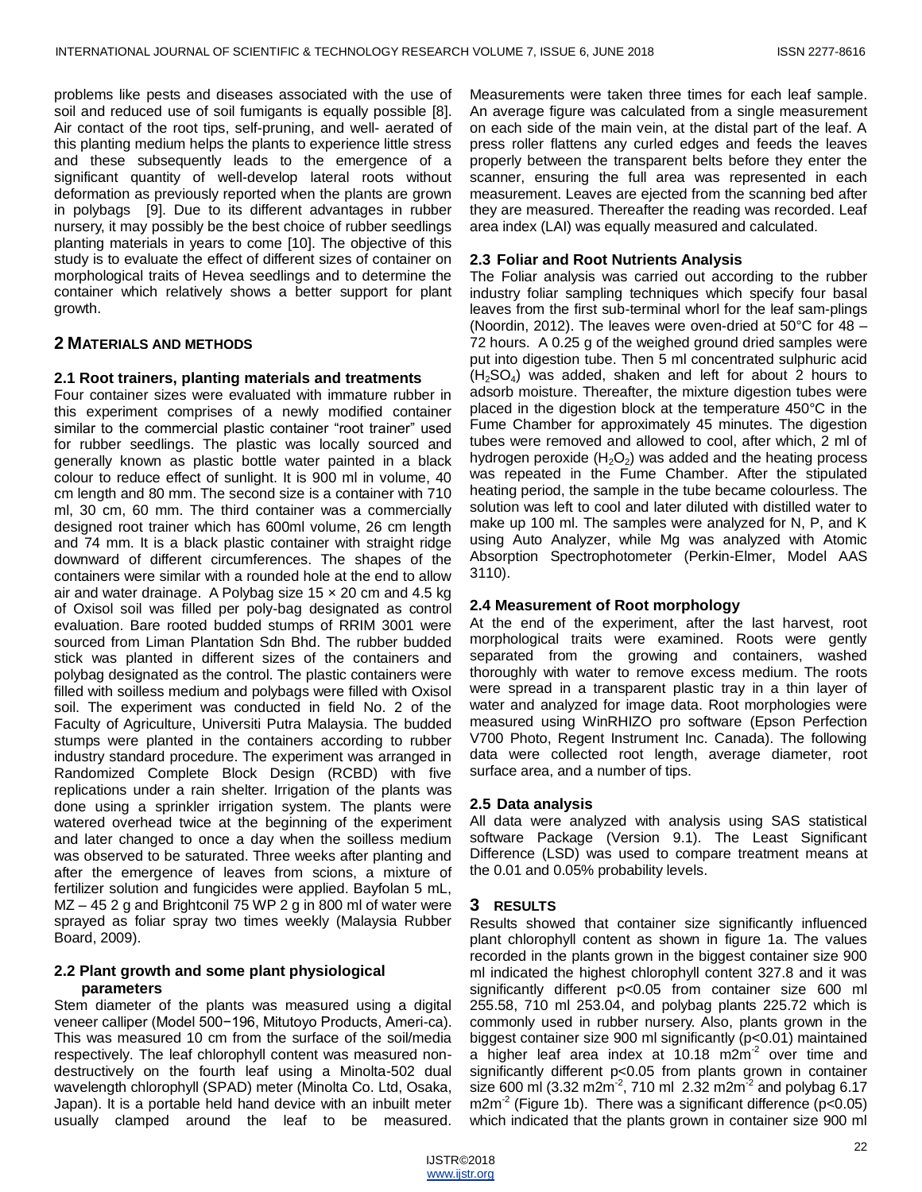problems like pests and diseases associated with the use of soil and reduced use of soil fumigants is equally possible [8]. Air contact of the root tips, self-pruning, and well- aerated of this planting medium helps the plants to experience little stress and these subsequently leads to the emergence of a significant quantity of well-develop lateral roots without deformation as previously reported when the plants are grown in polybags [9]. Due to its different advantages in rubber nursery, it may possibly be the best choice of rubber seedlings planting materials in years to come [10]. The objective of this study is to evaluate the effect of different sizes of container on morphological traits of Hevea seedlings and to determine the container which relatively shows a better support for plant growth.

## **2 MATERIALS AND METHODS**

#### **2.1 Root trainers, planting materials and treatments**

Four container sizes were evaluated with immature rubber in this experiment comprises of a newly modified container similar to the commercial plastic container "root trainer" used for rubber seedlings. The plastic was locally sourced and generally known as plastic bottle water painted in a black colour to reduce effect of sunlight. It is 900 ml in volume, 40 cm length and 80 mm. The second size is a container with 710 ml, 30 cm, 60 mm. The third container was a commercially designed root trainer which has 600ml volume, 26 cm length and 74 mm. It is a black plastic container with straight ridge downward of different circumferences. The shapes of the containers were similar with a rounded hole at the end to allow air and water drainage. A Polybag size  $15 \times 20$  cm and  $4.5$  kg of Oxisol soil was filled per poly-bag designated as control evaluation. Bare rooted budded stumps of RRIM 3001 were sourced from Liman Plantation Sdn Bhd. The rubber budded stick was planted in different sizes of the containers and polybag designated as the control. The plastic containers were filled with soilless medium and polybags were filled with Oxisol soil. The experiment was conducted in field No. 2 of the Faculty of Agriculture, Universiti Putra Malaysia. The budded stumps were planted in the containers according to rubber industry standard procedure. The experiment was arranged in Randomized Complete Block Design (RCBD) with five replications under a rain shelter. Irrigation of the plants was done using a sprinkler irrigation system. The plants were watered overhead twice at the beginning of the experiment and later changed to once a day when the soilless medium was observed to be saturated. Three weeks after planting and after the emergence of leaves from scions, a mixture of fertilizer solution and fungicides were applied. Bayfolan 5 mL, MZ – 45 2 g and Brightconil 75 WP 2 g in 800 ml of water were sprayed as foliar spray two times weekly (Malaysia Rubber Board, 2009).

#### **2.2 Plant growth and some plant physiological parameters**

Stem diameter of the plants was measured using a digital veneer calliper (Model 500−196, Mitutoyo Products, Ameri-ca). This was measured 10 cm from the surface of the soil/media respectively. The leaf chlorophyll content was measured nondestructively on the fourth leaf using a Minolta-502 dual wavelength chlorophyll (SPAD) meter (Minolta Co. Ltd, Osaka, Japan). It is a portable held hand device with an inbuilt meter usually clamped around the leaf to be measured.

Measurements were taken three times for each leaf sample. An average figure was calculated from a single measurement on each side of the main vein, at the distal part of the leaf. A press roller flattens any curled edges and feeds the leaves properly between the transparent belts before they enter the scanner, ensuring the full area was represented in each measurement. Leaves are ejected from the scanning bed after they are measured. Thereafter the reading was recorded. Leaf area index (LAI) was equally measured and calculated.

#### **2.3 Foliar and Root Nutrients Analysis**

The Foliar analysis was carried out according to the rubber industry foliar sampling techniques which specify four basal leaves from the first sub-terminal whorl for the leaf sam-plings (Noordin, 2012). The leaves were oven-dried at 50°C for 48 – 72 hours. A 0.25 g of the weighed ground dried samples were put into digestion tube. Then 5 ml concentrated sulphuric acid  $(H<sub>2</sub>SO<sub>4</sub>)$  was added, shaken and left for about 2 hours to adsorb moisture. Thereafter, the mixture digestion tubes were placed in the digestion block at the temperature 450°C in the Fume Chamber for approximately 45 minutes. The digestion tubes were removed and allowed to cool, after which, 2 ml of hydrogen peroxide  $(H_2O_2)$  was added and the heating process was repeated in the Fume Chamber. After the stipulated heating period, the sample in the tube became colourless. The solution was left to cool and later diluted with distilled water to make up 100 ml. The samples were analyzed for N, P, and K using Auto Analyzer, while Mg was analyzed with Atomic Absorption Spectrophotometer (Perkin-Elmer, Model AAS 3110).

#### **2.4 Measurement of Root morphology**

At the end of the experiment, after the last harvest, root morphological traits were examined. Roots were gently separated from the growing and containers, washed thoroughly with water to remove excess medium. The roots were spread in a transparent plastic tray in a thin layer of water and analyzed for image data. Root morphologies were measured using WinRHIZO pro software (Epson Perfection V700 Photo, Regent Instrument Inc. Canada). The following data were collected root length, average diameter, root surface area, and a number of tips.

#### **2.5 Data analysis**

All data were analyzed with analysis using SAS statistical software Package (Version 9.1). The Least Significant Difference (LSD) was used to compare treatment means at the 0.01 and 0.05% probability levels.

#### **3 RESULTS**

Results showed that container size significantly influenced plant chlorophyll content as shown in figure 1a. The values recorded in the plants grown in the biggest container size 900 ml indicated the highest chlorophyll content 327.8 and it was significantly different p<0.05 from container size 600 ml 255.58, 710 ml 253.04, and polybag plants 225.72 which is commonly used in rubber nursery. Also, plants grown in the biggest container size 900 ml significantly (p<0.01) maintained a higher leaf area index at 10.18 m2m<sup>-2</sup> over time and significantly different p<0.05 from plants grown in container size 600 ml (3.32 m2m<sup>-2</sup>, 710 ml 2.32 m2m<sup>-2</sup> and polybag 6.17 m2m<sup>-2</sup> (Figure 1b). There was a significant difference (p<0.05) which indicated that the plants grown in container size 900 ml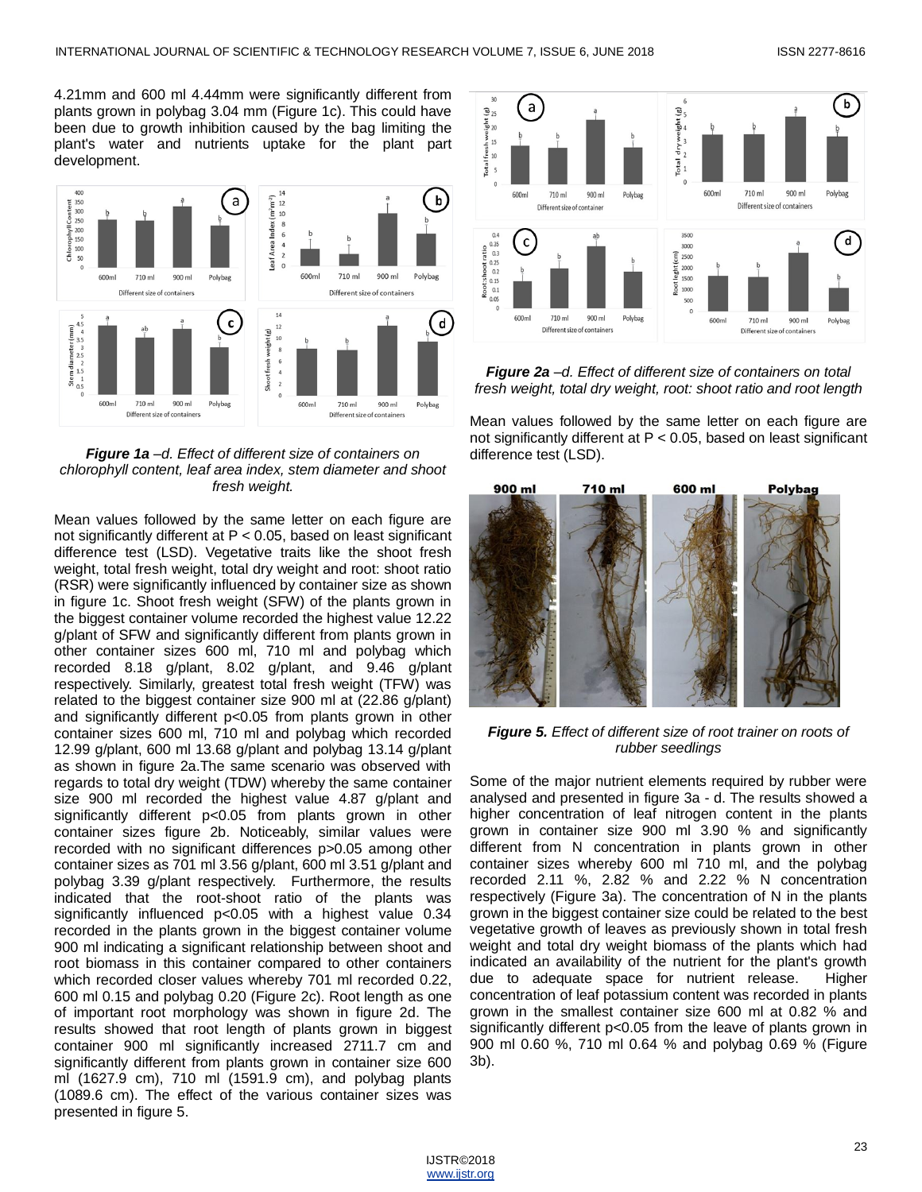4.21mm and 600 ml 4.44mm were significantly different from plants grown in polybag 3.04 mm (Figure 1c). This could have been due to growth inhibition caused by the bag limiting the plant's water and nutrients uptake for the plant part development.



*Figure 1a –d. Effect of different size of containers on chlorophyll content, leaf area index, stem diameter and shoot fresh weight.*

Mean values followed by the same letter on each figure are not significantly different at P < 0.05, based on least significant difference test (LSD). Vegetative traits like the shoot fresh weight, total fresh weight, total dry weight and root: shoot ratio (RSR) were significantly influenced by container size as shown in figure 1c. Shoot fresh weight (SFW) of the plants grown in the biggest container volume recorded the highest value 12.22 g/plant of SFW and significantly different from plants grown in other container sizes 600 ml, 710 ml and polybag which recorded 8.18 g/plant, 8.02 g/plant, and 9.46 g/plant respectively. Similarly, greatest total fresh weight (TFW) was related to the biggest container size 900 ml at (22.86 g/plant) and significantly different p<0.05 from plants grown in other container sizes 600 ml, 710 ml and polybag which recorded 12.99 g/plant, 600 ml 13.68 g/plant and polybag 13.14 g/plant as shown in figure 2a.The same scenario was observed with regards to total dry weight (TDW) whereby the same container size 900 ml recorded the highest value 4.87 g/plant and significantly different p<0.05 from plants grown in other container sizes figure 2b. Noticeably, similar values were recorded with no significant differences p>0.05 among other container sizes as 701 ml 3.56 g/plant, 600 ml 3.51 g/plant and polybag 3.39 g/plant respectively. Furthermore, the results indicated that the root-shoot ratio of the plants was significantly influenced p<0.05 with a highest value 0.34 recorded in the plants grown in the biggest container volume 900 ml indicating a significant relationship between shoot and root biomass in this container compared to other containers which recorded closer values whereby 701 ml recorded 0.22, 600 ml 0.15 and polybag 0.20 (Figure 2c). Root length as one of important root morphology was shown in figure 2d. The results showed that root length of plants grown in biggest container 900 ml significantly increased 2711.7 cm and significantly different from plants grown in container size 600 ml (1627.9 cm), 710 ml (1591.9 cm), and polybag plants (1089.6 cm). The effect of the various container sizes was presented in figure 5.



*Figure 2a –d. Effect of different size of containers on total fresh weight, total dry weight, root: shoot ratio and root length*

Mean values followed by the same letter on each figure are not significantly different at P < 0.05, based on least significant difference test (LSD).



*Figure 5. Effect of different size of root trainer on roots of rubber seedlings*

Some of the major nutrient elements required by rubber were analysed and presented in figure 3a - d. The results showed a higher concentration of leaf nitrogen content in the plants grown in container size 900 ml 3.90 % and significantly different from N concentration in plants grown in other container sizes whereby 600 ml 710 ml, and the polybag recorded 2.11 %, 2.82 % and 2.22 % N concentration respectively (Figure 3a). The concentration of N in the plants grown in the biggest container size could be related to the best vegetative growth of leaves as previously shown in total fresh weight and total dry weight biomass of the plants which had indicated an availability of the nutrient for the plant's growth due to adequate space for nutrient release. Higher concentration of leaf potassium content was recorded in plants grown in the smallest container size 600 ml at 0.82 % and significantly different p<0.05 from the leave of plants grown in 900 ml 0.60 %, 710 ml 0.64 % and polybag 0.69 % (Figure 3b).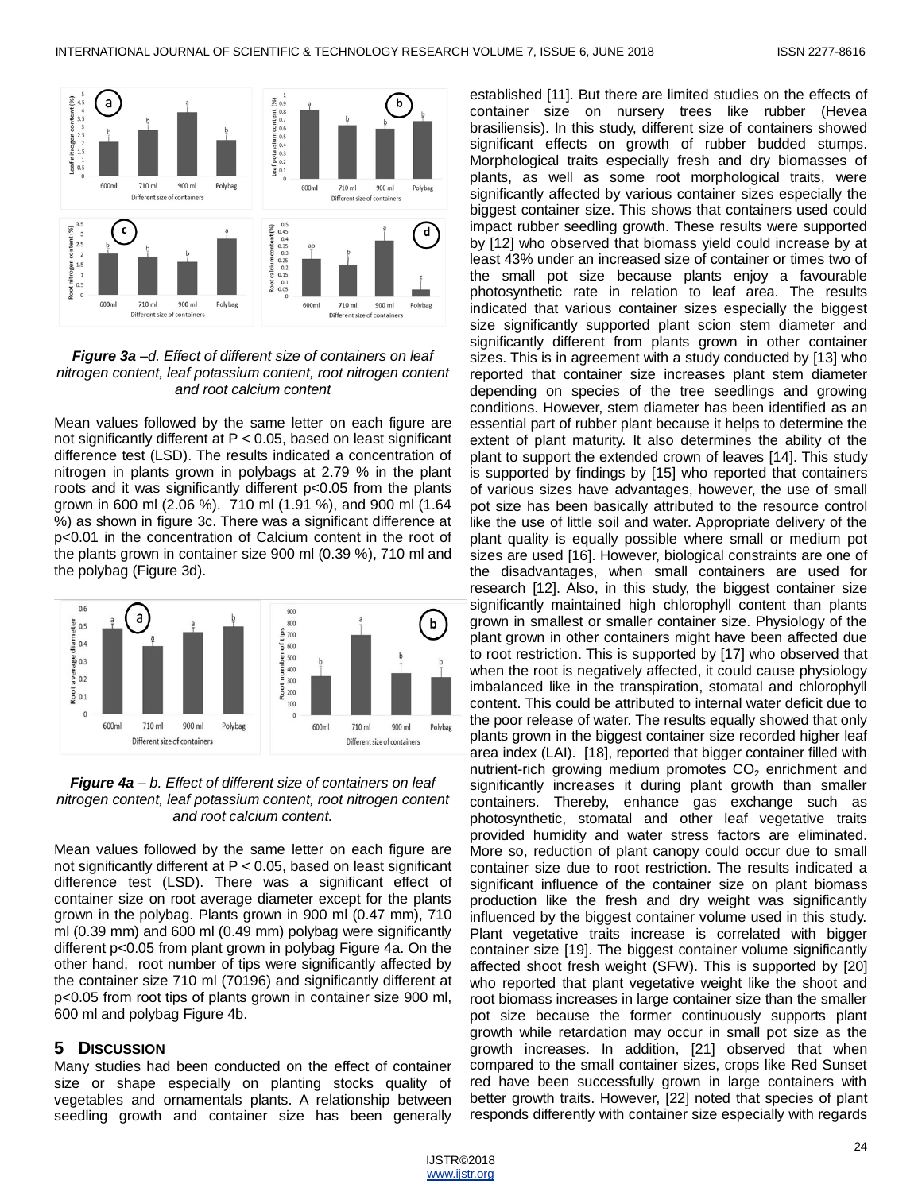

#### *Figure 3a –d. Effect of different size of containers on leaf nitrogen content, leaf potassium content, root nitrogen content and root calcium content*

Mean values followed by the same letter on each figure are not significantly different at P < 0.05, based on least significant difference test (LSD). The results indicated a concentration of nitrogen in plants grown in polybags at 2.79 % in the plant roots and it was significantly different p<0.05 from the plants grown in 600 ml (2.06 %). 710 ml (1.91 %), and 900 ml (1.64 %) as shown in figure 3c. There was a significant difference at p<0.01 in the concentration of Calcium content in the root of the plants grown in container size 900 ml (0.39 %), 710 ml and the polybag (Figure 3d).



*Figure 4a – b. Effect of different size of containers on leaf nitrogen content, leaf potassium content, root nitrogen content and root calcium content.*

Mean values followed by the same letter on each figure are not significantly different at P < 0.05, based on least significant difference test (LSD). There was a significant effect of container size on root average diameter except for the plants grown in the polybag. Plants grown in 900 ml (0.47 mm), 710 ml (0.39 mm) and 600 ml (0.49 mm) polybag were significantly different p<0.05 from plant grown in polybag Figure 4a. On the other hand, root number of tips were significantly affected by the container size 710 ml (70196) and significantly different at p<0.05 from root tips of plants grown in container size 900 ml, 600 ml and polybag Figure 4b.

#### **5 DISCUSSION**

Many studies had been conducted on the effect of container size or shape especially on planting stocks quality of vegetables and ornamentals plants. A relationship between seedling growth and container size has been generally

established [11]. But there are limited studies on the effects of container size on nursery trees like rubber (Hevea brasiliensis). In this study, different size of containers showed significant effects on growth of rubber budded stumps. Morphological traits especially fresh and dry biomasses of plants, as well as some root morphological traits, were significantly affected by various container sizes especially the biggest container size. This shows that containers used could impact rubber seedling growth. These results were supported by [12] who observed that biomass yield could increase by at least 43% under an increased size of container or times two of the small pot size because plants enjoy a favourable photosynthetic rate in relation to leaf area. The results indicated that various container sizes especially the biggest size significantly supported plant scion stem diameter and significantly different from plants grown in other container sizes. This is in agreement with a study conducted by [13] who reported that container size increases plant stem diameter depending on species of the tree seedlings and growing conditions. However, stem diameter has been identified as an essential part of rubber plant because it helps to determine the extent of plant maturity. It also determines the ability of the plant to support the extended crown of leaves [14]. This study is supported by findings by [15] who reported that containers of various sizes have advantages, however, the use of small pot size has been basically attributed to the resource control like the use of little soil and water. Appropriate delivery of the plant quality is equally possible where small or medium pot sizes are used [16]. However, biological constraints are one of the disadvantages, when small containers are used for research [12]. Also, in this study, the biggest container size significantly maintained high chlorophyll content than plants grown in smallest or smaller container size. Physiology of the plant grown in other containers might have been affected due to root restriction. This is supported by [17] who observed that when the root is negatively affected, it could cause physiology imbalanced like in the transpiration, stomatal and chlorophyll content. This could be attributed to internal water deficit due to the poor release of water. The results equally showed that only plants grown in the biggest container size recorded higher leaf area index (LAI). [18], reported that bigger container filled with nutrient-rich growing medium promotes  $CO<sub>2</sub>$  enrichment and significantly increases it during plant growth than smaller containers. Thereby, enhance gas exchange such as photosynthetic, stomatal and other leaf vegetative traits provided humidity and water stress factors are eliminated. More so, reduction of plant canopy could occur due to small container size due to root restriction. The results indicated a significant influence of the container size on plant biomass production like the fresh and dry weight was significantly influenced by the biggest container volume used in this study. Plant vegetative traits increase is correlated with bigger container size [19]. The biggest container volume significantly affected shoot fresh weight (SFW). This is supported by [20] who reported that plant vegetative weight like the shoot and root biomass increases in large container size than the smaller pot size because the former continuously supports plant growth while retardation may occur in small pot size as the growth increases. In addition, [21] observed that when compared to the small container sizes, crops like Red Sunset red have been successfully grown in large containers with better growth traits. However, [22] noted that species of plant responds differently with container size especially with regards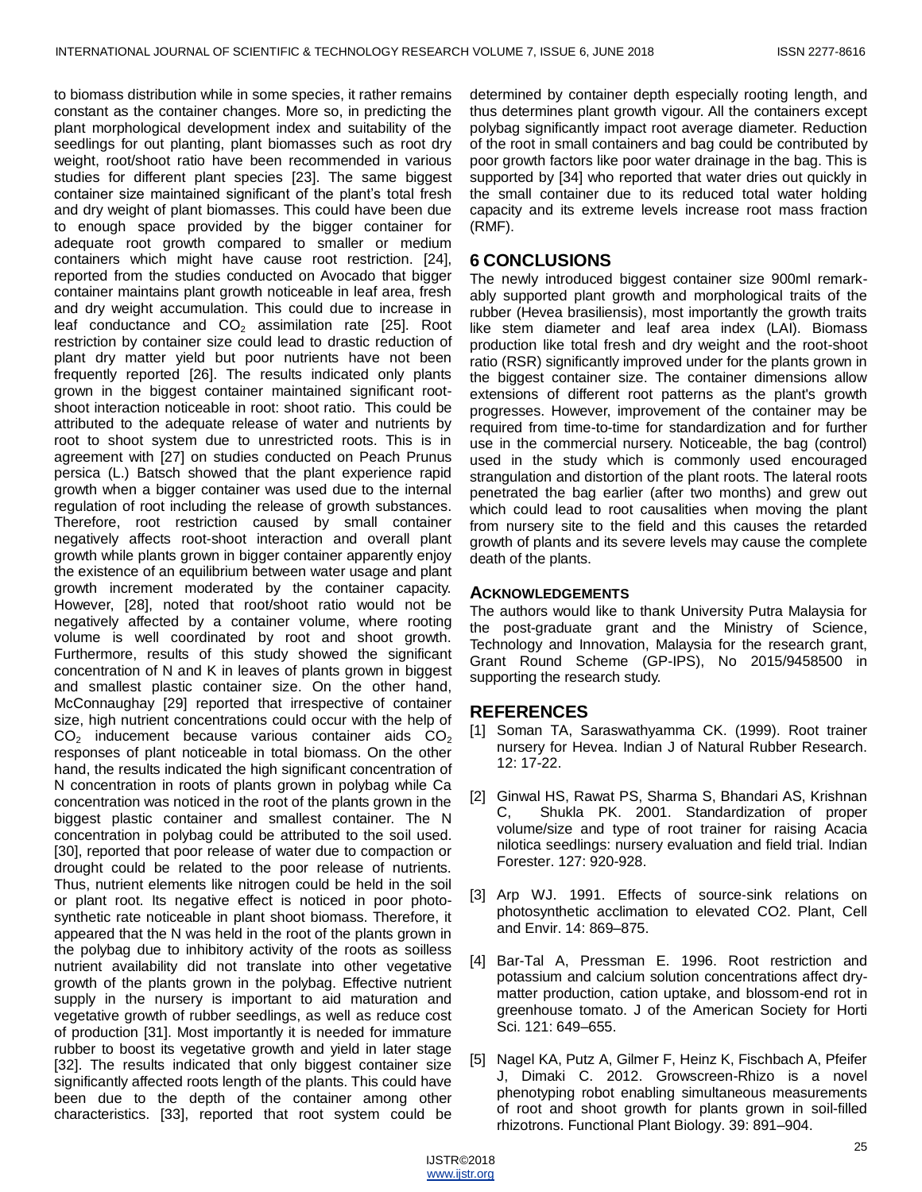to biomass distribution while in some species, it rather remains constant as the container changes. More so, in predicting the plant morphological development index and suitability of the seedlings for out planting, plant biomasses such as root dry weight, root/shoot ratio have been recommended in various studies for different plant species [23]. The same biggest container size maintained significant of the plant's total fresh and dry weight of plant biomasses. This could have been due to enough space provided by the bigger container for adequate root growth compared to smaller or medium containers which might have cause root restriction. [24], reported from the studies conducted on Avocado that bigger container maintains plant growth noticeable in leaf area, fresh and dry weight accumulation. This could due to increase in leaf conductance and  $CO<sub>2</sub>$  assimilation rate [25]. Root restriction by container size could lead to drastic reduction of plant dry matter yield but poor nutrients have not been frequently reported [26]. The results indicated only plants grown in the biggest container maintained significant rootshoot interaction noticeable in root: shoot ratio. This could be attributed to the adequate release of water and nutrients by root to shoot system due to unrestricted roots. This is in agreement with [27] on studies conducted on Peach Prunus persica (L.) Batsch showed that the plant experience rapid growth when a bigger container was used due to the internal regulation of root including the release of growth substances. Therefore, root restriction caused by small container negatively affects root-shoot interaction and overall plant growth while plants grown in bigger container apparently enjoy the existence of an equilibrium between water usage and plant growth increment moderated by the container capacity. However, [28], noted that root/shoot ratio would not be negatively affected by a container volume, where rooting volume is well coordinated by root and shoot growth. Furthermore, results of this study showed the significant concentration of N and K in leaves of plants grown in biggest and smallest plastic container size. On the other hand, McConnaughay [29] reported that irrespective of container size, high nutrient concentrations could occur with the help of  $CO<sub>2</sub>$  inducement because various container aids  $CO<sub>2</sub>$ responses of plant noticeable in total biomass. On the other hand, the results indicated the high significant concentration of N concentration in roots of plants grown in polybag while Ca concentration was noticed in the root of the plants grown in the biggest plastic container and smallest container. The N concentration in polybag could be attributed to the soil used. [30], reported that poor release of water due to compaction or drought could be related to the poor release of nutrients. Thus, nutrient elements like nitrogen could be held in the soil or plant root. Its negative effect is noticed in poor photosynthetic rate noticeable in plant shoot biomass. Therefore, it appeared that the N was held in the root of the plants grown in the polybag due to inhibitory activity of the roots as soilless nutrient availability did not translate into other vegetative growth of the plants grown in the polybag. Effective nutrient supply in the nursery is important to aid maturation and vegetative growth of rubber seedlings, as well as reduce cost of production [31]. Most importantly it is needed for immature rubber to boost its vegetative growth and yield in later stage [32]. The results indicated that only biggest container size significantly affected roots length of the plants. This could have been due to the depth of the container among other characteristics. [33], reported that root system could be

determined by container depth especially rooting length, and thus determines plant growth vigour. All the containers except polybag significantly impact root average diameter. Reduction of the root in small containers and bag could be contributed by poor growth factors like poor water drainage in the bag. This is supported by [34] who reported that water dries out quickly in the small container due to its reduced total water holding capacity and its extreme levels increase root mass fraction (RMF).

# **6 CONCLUSIONS**

The newly introduced biggest container size 900ml remarkably supported plant growth and morphological traits of the rubber (Hevea brasiliensis), most importantly the growth traits like stem diameter and leaf area index (LAI). Biomass production like total fresh and dry weight and the root-shoot ratio (RSR) significantly improved under for the plants grown in the biggest container size. The container dimensions allow extensions of different root patterns as the plant's growth progresses. However, improvement of the container may be required from time-to-time for standardization and for further use in the commercial nursery. Noticeable, the bag (control) used in the study which is commonly used encouraged strangulation and distortion of the plant roots. The lateral roots penetrated the bag earlier (after two months) and grew out which could lead to root causalities when moving the plant from nursery site to the field and this causes the retarded growth of plants and its severe levels may cause the complete death of the plants.

## **ACKNOWLEDGEMENTS**

The authors would like to thank University Putra Malaysia for the post-graduate grant and the Ministry of Science, Technology and Innovation, Malaysia for the research grant, Grant Round Scheme (GP-IPS), No 2015/9458500 in supporting the research study.

# **REFERENCES**

- [1] Soman TA, Saraswathyamma CK. (1999). Root trainer nursery for Hevea. Indian J of Natural Rubber Research. 12: 17-22.
- [2] Ginwal HS, Rawat PS, Sharma S, Bhandari AS, Krishnan C, Shukla PK. 2001. Standardization of proper volume/size and type of root trainer for raising Acacia nilotica seedlings: nursery evaluation and field trial. Indian Forester. 127: 920-928.
- [3] Arp WJ. 1991. Effects of source-sink relations on photosynthetic acclimation to elevated CO2. Plant, Cell and Envir. 14: 869–875.
- [4] Bar-Tal A, Pressman E. 1996. Root restriction and potassium and calcium solution concentrations affect drymatter production, cation uptake, and blossom-end rot in greenhouse tomato. J of the American Society for Horti Sci. 121: 649–655.
- [5] Nagel KA, Putz A, Gilmer F, Heinz K, Fischbach A, Pfeifer J, Dimaki C. 2012. Growscreen-Rhizo is a novel phenotyping robot enabling simultaneous measurements of root and shoot growth for plants grown in soil-filled rhizotrons. Functional Plant Biology. 39: 891–904.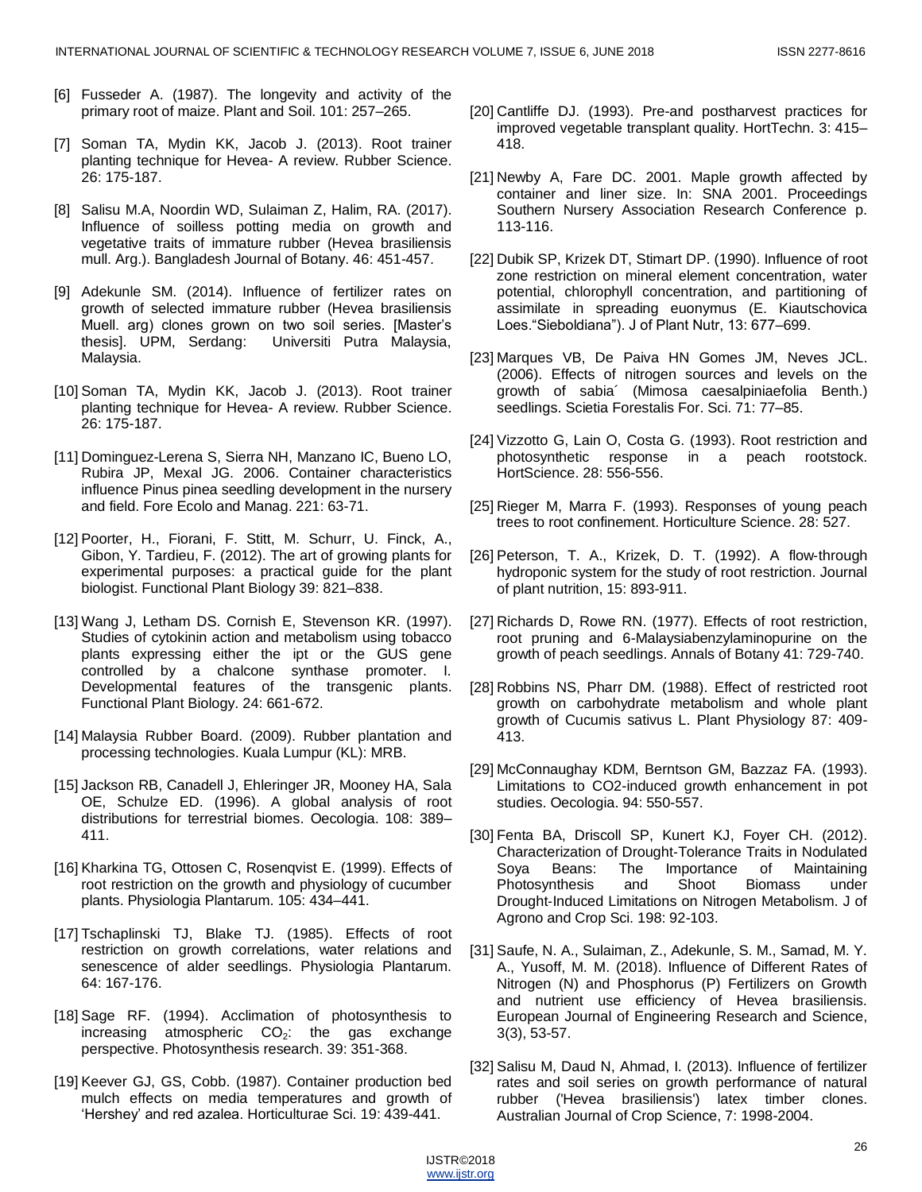- [6] Fusseder A. (1987). The longevity and activity of the primary root of maize. Plant and Soil. 101: 257–265.
- [7] Soman TA, Mydin KK, Jacob J. (2013). Root trainer planting technique for Hevea- A review. Rubber Science. 26: 175-187.
- [8] Salisu M.A, Noordin WD, Sulaiman Z, Halim, RA. (2017). Influence of soilless potting media on growth and vegetative traits of immature rubber (Hevea brasiliensis mull. Arg.). Bangladesh Journal of Botany. 46: 451-457.
- [9] Adekunle SM. (2014). Influence of fertilizer rates on growth of selected immature rubber (Hevea brasiliensis Muell. arg) clones grown on two soil series. [Master's thesis]. UPM, Serdang: Universiti Putra Malaysia, Malaysia.
- [10] Soman TA, Mydin KK, Jacob J. (2013). Root trainer planting technique for Hevea- A review. Rubber Science. 26: 175-187.
- [11] Dominguez-Lerena S, Sierra NH, Manzano IC, Bueno LO, Rubira JP, Mexal JG. 2006. Container characteristics influence Pinus pinea seedling development in the nursery and field. Fore Ecolo and Manag. 221: 63-71.
- [12] Poorter, H., Fiorani, F. Stitt, M. Schurr, U. Finck, A., Gibon, Y. Tardieu, F. (2012). The art of growing plants for experimental purposes: a practical guide for the plant biologist. Functional Plant Biology 39: 821–838.
- [13] Wang J, Letham DS. Cornish E, Stevenson KR. (1997). Studies of cytokinin action and metabolism using tobacco plants expressing either the ipt or the GUS gene controlled by a chalcone synthase promoter. I. Developmental features of the transgenic plants. Functional Plant Biology. 24: 661-672.
- [14] Malaysia Rubber Board. (2009). Rubber plantation and processing technologies. Kuala Lumpur (KL): MRB.
- [15] Jackson RB, Canadell J, Ehleringer JR, Mooney HA, Sala OE, Schulze ED. (1996). A global analysis of root distributions for terrestrial biomes. Oecologia. 108: 389– 411.
- [16] Kharkina TG, Ottosen C, Rosenqvist E. (1999). Effects of root restriction on the growth and physiology of cucumber plants. Physiologia Plantarum. 105: 434–441.
- [17] Tschaplinski TJ, Blake TJ. (1985). Effects of root restriction on growth correlations, water relations and senescence of alder seedlings. Physiologia Plantarum. 64: 167-176.
- [18] Sage RF. (1994). Acclimation of photosynthesis to increasing atmospheric  $CO<sub>2</sub>$ : the gas exchange perspective. Photosynthesis research. 39: 351-368.
- [19] Keever GJ, GS, Cobb. (1987). Container production bed mulch effects on media temperatures and growth of ‗Hershey' and red azalea. Horticulturae Sci. 19: 439-441.
- [20] Cantliffe DJ. (1993). Pre-and postharvest practices for improved vegetable transplant quality. HortTechn. 3: 415– 418.
- [21] Newby A, Fare DC. 2001. Maple growth affected by container and liner size. In: SNA 2001. Proceedings Southern Nursery Association Research Conference p. 113-116.
- [22] Dubik SP, Krizek DT, Stimart DP. (1990). Influence of root zone restriction on mineral element concentration, water potential, chlorophyll concentration, and partitioning of assimilate in spreading euonymus (E. Kiautschovica Loes. "Sieboldiana"). J of Plant Nutr, 13: 677–699.
- [23] Marques VB, De Paiva HN Gomes JM, Neves JCL. (2006). Effects of nitrogen sources and levels on the growth of sabia´ (Mimosa caesalpiniaefolia Benth.) seedlings. Scietia Forestalis For. Sci. 71: 77–85.
- [24] Vizzotto G, Lain O, Costa G. (1993). Root restriction and photosynthetic response in a peach rootstock. HortScience. 28: 556-556.
- [25] Rieger M, Marra F. (1993). Responses of young peach trees to root confinement. Horticulture Science. 28: 527.
- [26] Peterson, T. A., Krizek, D. T. (1992). A flow-through hydroponic system for the study of root restriction. Journal of plant nutrition, 15: 893-911.
- [27] Richards D, Rowe RN. (1977). Effects of root restriction, root pruning and 6-Malaysiabenzylaminopurine on the growth of peach seedlings. Annals of Botany 41: 729-740.
- [28] Robbins NS, Pharr DM. (1988). Effect of restricted root growth on carbohydrate metabolism and whole plant growth of Cucumis sativus L. Plant Physiology 87: 409- 413.
- [29] McConnaughay KDM, Berntson GM, Bazzaz FA. (1993). Limitations to CO2-induced growth enhancement in pot studies. Oecologia. 94: 550-557.
- [30] Fenta BA, Driscoll SP, Kunert KJ, Foyer CH. (2012). Characterization of Drought‐Tolerance Traits in Nodulated Soya Beans: The Importance of Maintaining Photosynthesis and Shoot Biomass under Drought‐Induced Limitations on Nitrogen Metabolism. J of Agrono and Crop Sci. 198: 92-103.
- [31] Saufe, N. A., Sulaiman, Z., Adekunle, S. M., Samad, M. Y. A., Yusoff, M. M. (2018). Influence of Different Rates of Nitrogen (N) and Phosphorus (P) Fertilizers on Growth and nutrient use efficiency of Hevea brasiliensis. European Journal of Engineering Research and Science, 3(3), 53-57.
- [32] Salisu M, Daud N, Ahmad, I. (2013). Influence of fertilizer rates and soil series on growth performance of natural rubber ('Hevea brasiliensis') latex timber clones. Australian Journal of Crop Science, 7: 1998-2004.